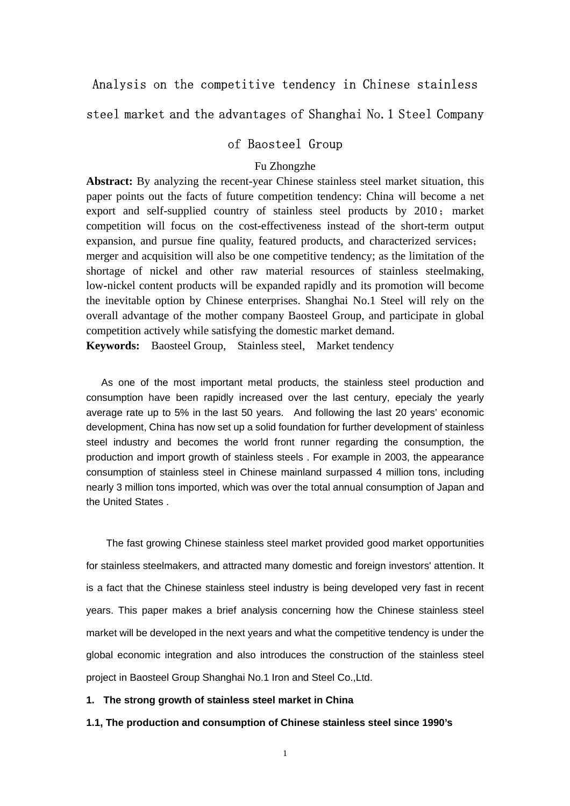# Analysis on the competitive tendency in Chinese stainless

# steel market and the advantages of Shanghai No.1 Steel Company

### of Baosteel Group

### Fu Zhongzhe

**Abstract:** By analyzing the recent-year Chinese stainless steel market situation, this paper points out the facts of future competition tendency: China will become a net export and self-supplied country of stainless steel products by  $2010$ ; market competition will focus on the cost-effectiveness instead of the short-term output expansion, and pursue fine quality, featured products, and characterized services; merger and acquisition will also be one competitive tendency; as the limitation of the shortage of nickel and other raw material resources of stainless steelmaking, low-nickel content products will be expanded rapidly and its promotion will become the inevitable option by Chinese enterprises. Shanghai No.1 Steel will rely on the overall advantage of the mother company Baosteel Group, and participate in global competition actively while satisfying the domestic market demand.

**Keywords:** Baosteel Group, Stainless steel, Market tendency

As one of the most important metal products, the stainless steel production and consumption have been rapidly increased over the last century, epecialy the yearly average rate up to 5% in the last 50 years. And following the last 20 years' economic development, China has now set up a solid foundation for further development of stainless steel industry and becomes the world front runner regarding the consumption, the production and import growth of stainless steels . For example in 2003, the appearance consumption of stainless steel in Chinese mainland surpassed 4 million tons, including nearly 3 million tons imported, which was over the total annual consumption of Japan and the United States .

The fast growing Chinese stainless steel market provided good market opportunities for stainless steelmakers, and attracted many domestic and foreign investors' attention. It is a fact that the Chinese stainless steel industry is being developed very fast in recent years. This paper makes a brief analysis concerning how the Chinese stainless steel market will be developed in the next years and what the competitive tendency is under the global economic integration and also introduces the construction of the stainless steel project in Baosteel Group Shanghai No.1 Iron and Steel Co.,Ltd.

### **1. The strong growth of stainless steel market in China**

#### **1.1, The production and consumption of Chinese stainless steel since 1990's**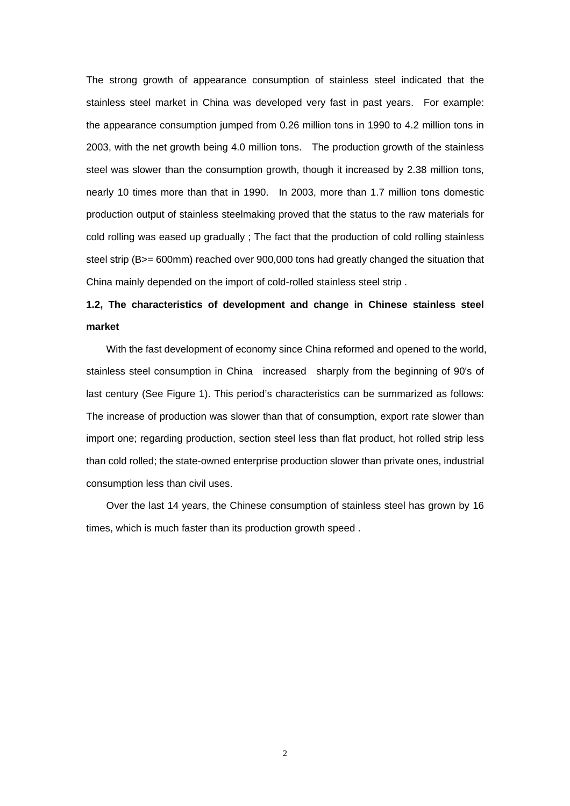The strong growth of appearance consumption of stainless steel indicated that the stainless steel market in China was developed very fast in past years. For example: the appearance consumption jumped from 0.26 million tons in 1990 to 4.2 million tons in 2003, with the net growth being 4.0 million tons. The production growth of the stainless steel was slower than the consumption growth, though it increased by 2.38 million tons, nearly 10 times more than that in 1990. In 2003, more than 1.7 million tons domestic production output of stainless steelmaking proved that the status to the raw materials for cold rolling was eased up gradually ; The fact that the production of cold rolling stainless steel strip (B>= 600mm) reached over 900,000 tons had greatly changed the situation that China mainly depended on the import of cold-rolled stainless steel strip .

# **1.2, The characteristics of development and change in Chinese stainless steel market**

With the fast development of economy since China reformed and opened to the world, stainless steel consumption in China increased sharply from the beginning of 90's of last century (See Figure 1). This period's characteristics can be summarized as follows: The increase of production was slower than that of consumption, export rate slower than import one; regarding production, section steel less than flat product, hot rolled strip less than cold rolled; the state-owned enterprise production slower than private ones, industrial consumption less than civil uses.

Over the last 14 years, the Chinese consumption of stainless steel has grown by 16 times, which is much faster than its production growth speed .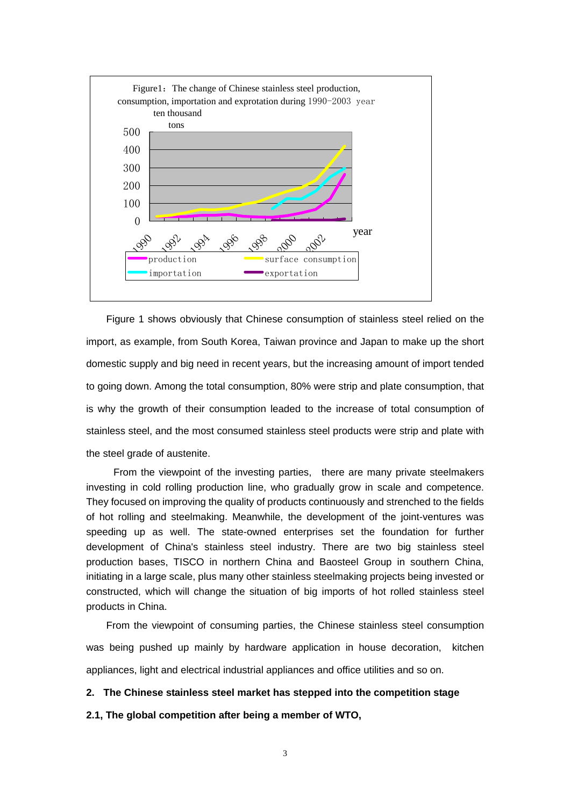

Figure 1 shows obviously that Chinese consumption of stainless steel relied on the import, as example, from South Korea, Taiwan province and Japan to make up the short domestic supply and big need in recent years, but the increasing amount of import tended to going down. Among the total consumption, 80% were strip and plate consumption, that is why the growth of their consumption leaded to the increase of total consumption of stainless steel, and the most consumed stainless steel products were strip and plate with the steel grade of austenite.

From the viewpoint of the investing parties, there are many private steelmakers investing in cold rolling production line, who gradually grow in scale and competence. They focused on improving the quality of products continuously and strenched to the fields of hot rolling and steelmaking. Meanwhile, the development of the joint-ventures was speeding up as well. The state-owned enterprises set the foundation for further development of China's stainless steel industry. There are two big stainless steel production bases, TISCO in northern China and Baosteel Group in southern China, initiating in a large scale, plus many other stainless steelmaking projects being invested or constructed, which will change the situation of big imports of hot rolled stainless steel products in China.

From the viewpoint of consuming parties, the Chinese stainless steel consumption was being pushed up mainly by hardware application in house decoration, kitchen appliances, light and electrical industrial appliances and office utilities and so on.

### **2. The Chinese stainless steel market has stepped into the competition stage**

**2.1, The global competition after being a member of WTO,**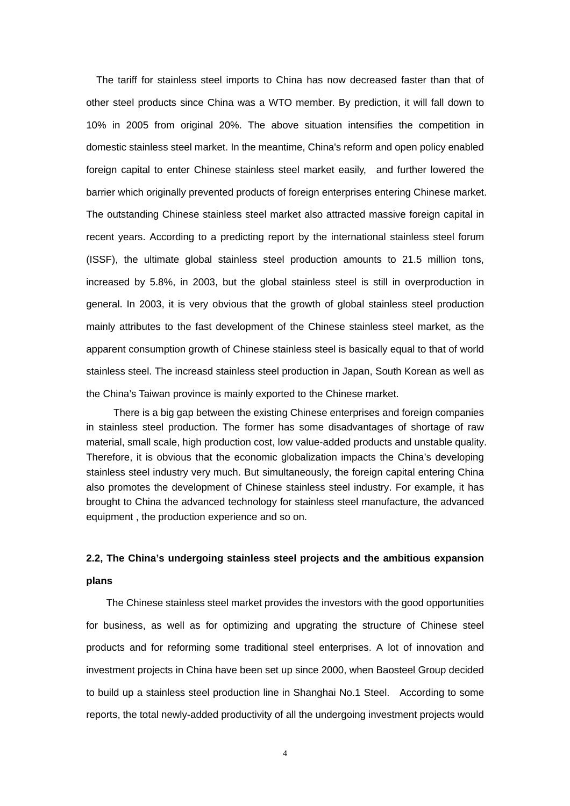The tariff for stainless steel imports to China has now decreased faster than that of other steel products since China was a WTO member. By prediction, it will fall down to 10% in 2005 from original 20%. The above situation intensifies the competition in domestic stainless steel market. In the meantime, China's reform and open policy enabled foreign capital to enter Chinese stainless steel market easily, and further lowered the barrier which originally prevented products of foreign enterprises entering Chinese market. The outstanding Chinese stainless steel market also attracted massive foreign capital in recent years. According to a predicting report by the international stainless steel forum (ISSF), the ultimate global stainless steel production amounts to 21.5 million tons, increased by 5.8%, in 2003, but the global stainless steel is still in overproduction in general. In 2003, it is very obvious that the growth of global stainless steel production mainly attributes to the fast development of the Chinese stainless steel market, as the apparent consumption growth of Chinese stainless steel is basically equal to that of world stainless steel. The increasd stainless steel production in Japan, South Korean as well as the China's Taiwan province is mainly exported to the Chinese market.

There is a big gap between the existing Chinese enterprises and foreign companies in stainless steel production. The former has some disadvantages of shortage of raw material, small scale, high production cost, low value-added products and unstable quality. Therefore, it is obvious that the economic globalization impacts the China's developing stainless steel industry very much. But simultaneously, the foreign capital entering China also promotes the development of Chinese stainless steel industry. For example, it has brought to China the advanced technology for stainless steel manufacture, the advanced equipment , the production experience and so on.

# **2.2, The China's undergoing stainless steel projects and the ambitious expansion plans**

The Chinese stainless steel market provides the investors with the good opportunities for business, as well as for optimizing and upgrating the structure of Chinese steel products and for reforming some traditional steel enterprises. A lot of innovation and investment projects in China have been set up since 2000, when Baosteel Group decided to build up a stainless steel production line in Shanghai No.1 Steel. According to some reports, the total newly-added productivity of all the undergoing investment projects would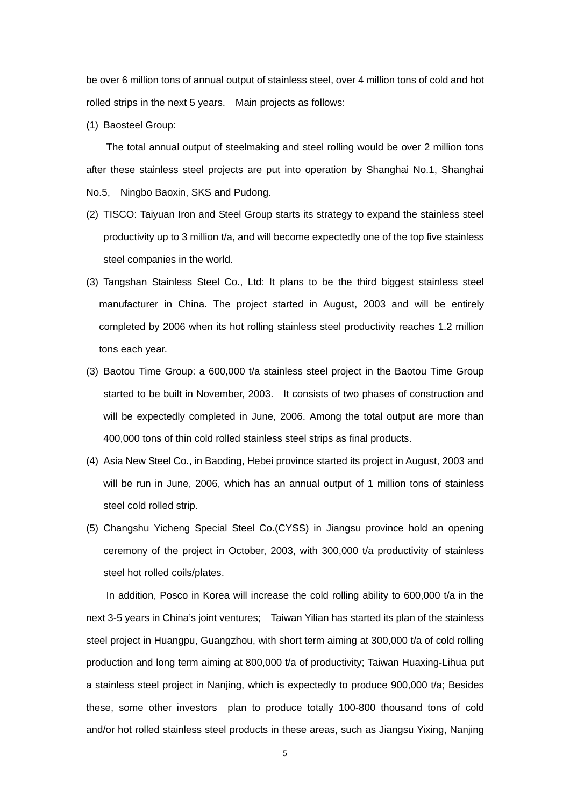be over 6 million tons of annual output of stainless steel, over 4 million tons of cold and hot rolled strips in the next 5 years. Main projects as follows:

(1) Baosteel Group:

The total annual output of steelmaking and steel rolling would be over 2 million tons after these stainless steel projects are put into operation by Shanghai No.1, Shanghai No.5, Ningbo Baoxin, SKS and Pudong.

- (2) TISCO: Taiyuan Iron and Steel Group starts its strategy to expand the stainless steel productivity up to 3 million t/a, and will become expectedly one of the top five stainless steel companies in the world.
- (3) Tangshan Stainless Steel Co., Ltd: It plans to be the third biggest stainless steel manufacturer in China. The project started in August, 2003 and will be entirely completed by 2006 when its hot rolling stainless steel productivity reaches 1.2 million tons each year.
- (3) Baotou Time Group: a 600,000 t/a stainless steel project in the Baotou Time Group started to be built in November, 2003. It consists of two phases of construction and will be expectedly completed in June, 2006. Among the total output are more than 400,000 tons of thin cold rolled stainless steel strips as final products.
- (4) Asia New Steel Co., in Baoding, Hebei province started its project in August, 2003 and will be run in June, 2006, which has an annual output of 1 million tons of stainless steel cold rolled strip.
- (5) Changshu Yicheng Special Steel Co.(CYSS) in Jiangsu province hold an opening ceremony of the project in October, 2003, with 300,000 t/a productivity of stainless steel hot rolled coils/plates.

In addition, Posco in Korea will increase the cold rolling ability to 600,000 t/a in the next 3-5 years in China's joint ventures; Taiwan Yilian has started its plan of the stainless steel project in Huangpu, Guangzhou, with short term aiming at 300,000 t/a of cold rolling production and long term aiming at 800,000 t/a of productivity; Taiwan Huaxing-Lihua put a stainless steel project in Nanjing, which is expectedly to produce 900,000 t/a; Besides these, some other investors plan to produce totally 100-800 thousand tons of cold and/or hot rolled stainless steel products in these areas, such as Jiangsu Yixing, Nanjing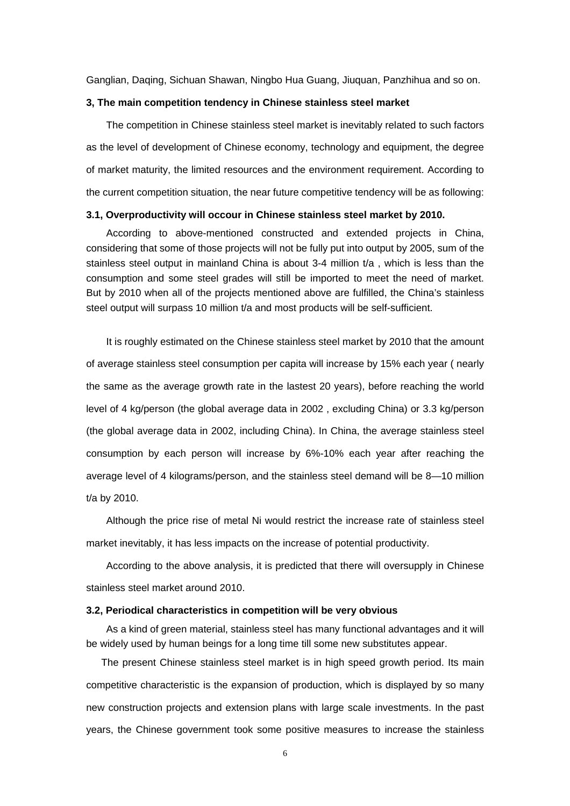Ganglian, Daqing, Sichuan Shawan, Ningbo Hua Guang, Jiuquan, Panzhihua and so on.

### **3, The main competition tendency in Chinese stainless steel market**

The competition in Chinese stainless steel market is inevitably related to such factors as the level of development of Chinese economy, technology and equipment, the degree of market maturity, the limited resources and the environment requirement. According to the current competition situation, the near future competitive tendency will be as following:

#### **3.1, Overproductivity will occour in Chinese stainless steel market by 2010.**

According to above-mentioned constructed and extended projects in China, considering that some of those projects will not be fully put into output by 2005, sum of the stainless steel output in mainland China is about 3-4 million t/a , which is less than the consumption and some steel grades will still be imported to meet the need of market. But by 2010 when all of the projects mentioned above are fulfilled, the China's stainless steel output will surpass 10 million t/a and most products will be self-sufficient.

It is roughly estimated on the Chinese stainless steel market by 2010 that the amount of average stainless steel consumption per capita will increase by 15% each year ( nearly the same as the average growth rate in the lastest 20 years), before reaching the world level of 4 kg/person (the global average data in 2002 , excluding China) or 3.3 kg/person (the global average data in 2002, including China). In China, the average stainless steel consumption by each person will increase by 6%-10% each year after reaching the average level of 4 kilograms/person, and the stainless steel demand will be 8—10 million t/a by 2010.

Although the price rise of metal Ni would restrict the increase rate of stainless steel market inevitably, it has less impacts on the increase of potential productivity.

According to the above analysis, it is predicted that there will oversupply in Chinese stainless steel market around 2010.

#### **3.2, Periodical characteristics in competition will be very obvious**

As a kind of green material, stainless steel has many functional advantages and it will be widely used by human beings for a long time till some new substitutes appear.

 The present Chinese stainless steel market is in high speed growth period. Its main competitive characteristic is the expansion of production, which is displayed by so many new construction projects and extension plans with large scale investments. In the past years, the Chinese government took some positive measures to increase the stainless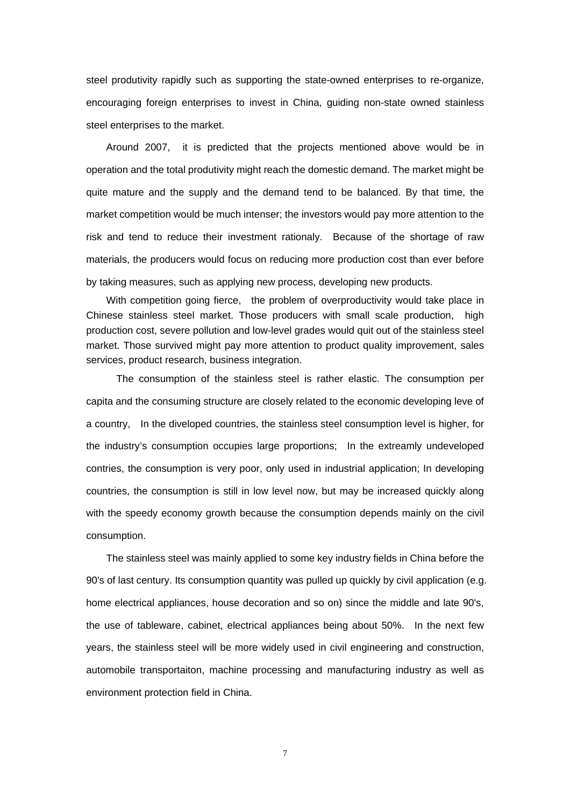steel produtivity rapidly such as supporting the state-owned enterprises to re-organize, encouraging foreign enterprises to invest in China, guiding non-state owned stainless steel enterprises to the market.

Around 2007, it is predicted that the projects mentioned above would be in operation and the total produtivity might reach the domestic demand. The market might be quite mature and the supply and the demand tend to be balanced. By that time, the market competition would be much intenser; the investors would pay more attention to the risk and tend to reduce their investment rationaly. Because of the shortage of raw materials, the producers would focus on reducing more production cost than ever before by taking measures, such as applying new process, developing new products.

With competition going fierce, the problem of overproductivity would take place in Chinese stainless steel market. Those producers with small scale production, high production cost, severe pollution and low-level grades would quit out of the stainless steel market. Those survived might pay more attention to product quality improvement, sales services, product research, business integration.

The consumption of the stainless steel is rather elastic. The consumption per capita and the consuming structure are closely related to the economic developing leve of a country, In the diveloped countries, the stainless steel consumption level is higher, for the industry's consumption occupies large proportions; In the extreamly undeveloped contries, the consumption is very poor, only used in industrial application; In developing countries, the consumption is still in low level now, but may be increased quickly along with the speedy economy growth because the consumption depends mainly on the civil consumption.

The stainless steel was mainly applied to some key industry fields in China before the 90's of last century. Its consumption quantity was pulled up quickly by civil application (e.g. home electrical appliances, house decoration and so on) since the middle and late 90's, the use of tableware, cabinet, electrical appliances being about 50%. In the next few years, the stainless steel will be more widely used in civil engineering and construction, automobile transportaiton, machine processing and manufacturing industry as well as environment protection field in China.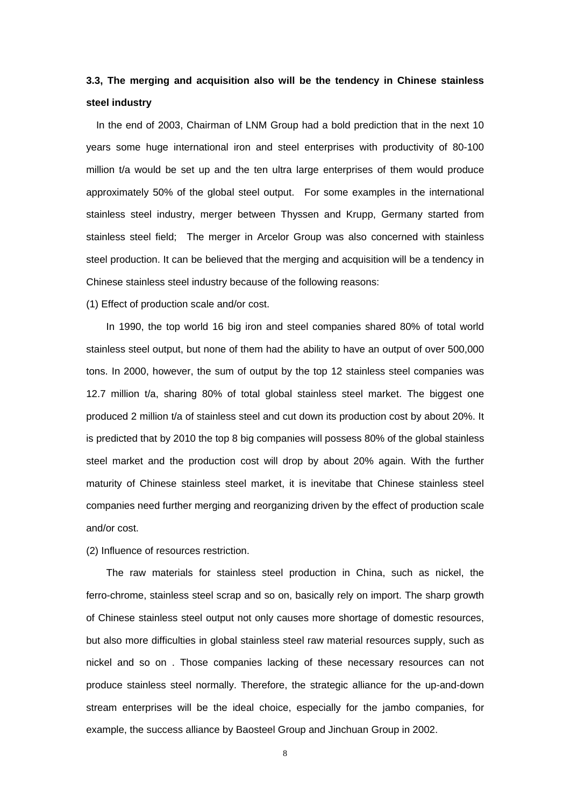# **3.3, The merging and acquisition also will be the tendency in Chinese stainless steel industry**

In the end of 2003, Chairman of LNM Group had a bold prediction that in the next 10 years some huge international iron and steel enterprises with productivity of 80-100 million t/a would be set up and the ten ultra large enterprises of them would produce approximately 50% of the global steel output. For some examples in the international stainless steel industry, merger between Thyssen and Krupp, Germany started from stainless steel field; The merger in Arcelor Group was also concerned with stainless steel production. It can be believed that the merging and acquisition will be a tendency in Chinese stainless steel industry because of the following reasons:

(1) Effect of production scale and/or cost.

In 1990, the top world 16 big iron and steel companies shared 80% of total world stainless steel output, but none of them had the ability to have an output of over 500,000 tons. In 2000, however, the sum of output by the top 12 stainless steel companies was 12.7 million t/a, sharing 80% of total global stainless steel market. The biggest one produced 2 million t/a of stainless steel and cut down its production cost by about 20%. It is predicted that by 2010 the top 8 big companies will possess 80% of the global stainless steel market and the production cost will drop by about 20% again. With the further maturity of Chinese stainless steel market, it is inevitabe that Chinese stainless steel companies need further merging and reorganizing driven by the effect of production scale and/or cost.

(2) Influence of resources restriction.

The raw materials for stainless steel production in China, such as nickel, the ferro-chrome, stainless steel scrap and so on, basically rely on import. The sharp growth of Chinese stainless steel output not only causes more shortage of domestic resources, but also more difficulties in global stainless steel raw material resources supply, such as nickel and so on . Those companies lacking of these necessary resources can not produce stainless steel normally. Therefore, the strategic alliance for the up-and-down stream enterprises will be the ideal choice, especially for the jambo companies, for example, the success alliance by Baosteel Group and Jinchuan Group in 2002.

8 and 2012 and 2013 and 2014 and 2014 and 2014 and 2014 and 2014 and 2014 and 2014 and 2014 and 2014 and 2014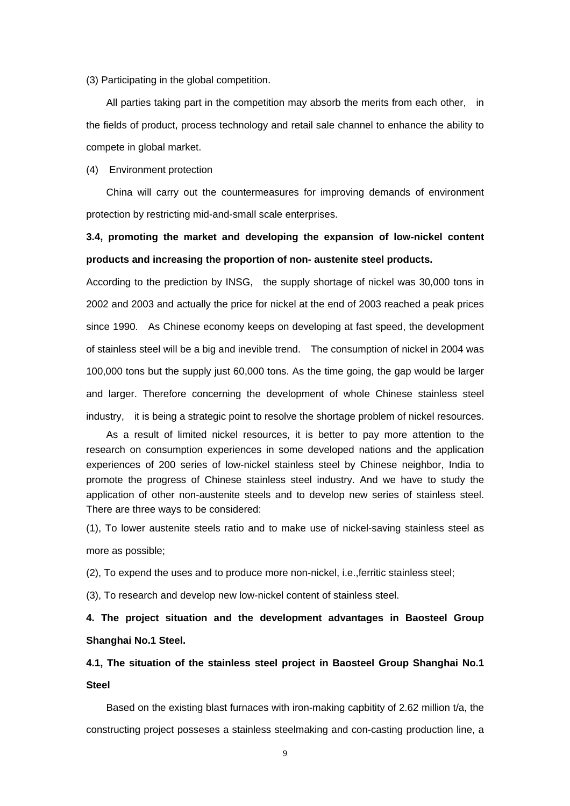(3) Participating in the global competition.

All parties taking part in the competition may absorb the merits from each other, in the fields of product, process technology and retail sale channel to enhance the ability to compete in global market.

(4) Environment protection

China will carry out the countermeasures for improving demands of environment protection by restricting mid-and-small scale enterprises.

# **3.4, promoting the market and developing the expansion of low-nickel content products and increasing the proportion of non- austenite steel products.**

According to the prediction by INSG, the supply shortage of nickel was 30,000 tons in 2002 and 2003 and actually the price for nickel at the end of 2003 reached a peak prices since 1990. As Chinese economy keeps on developing at fast speed, the development of stainless steel will be a big and inevible trend. The consumption of nickel in 2004 was 100,000 tons but the supply just 60,000 tons. As the time going, the gap would be larger and larger. Therefore concerning the development of whole Chinese stainless steel industry, it is being a strategic point to resolve the shortage problem of nickel resources.

As a result of limited nickel resources, it is better to pay more attention to the research on consumption experiences in some developed nations and the application experiences of 200 series of low-nickel stainless steel by Chinese neighbor, India to promote the progress of Chinese stainless steel industry. And we have to study the application of other non-austenite steels and to develop new series of stainless steel. There are three ways to be considered:

(1), To lower austenite steels ratio and to make use of nickel-saving stainless steel as more as possible;

(2), To expend the uses and to produce more non-nickel, i.e.,ferritic stainless steel;

(3), To research and develop new low-nickel content of stainless steel.

**4. The project situation and the development advantages in Baosteel Group Shanghai No.1 Steel.** 

# **4.1, The situation of the stainless steel project in Baosteel Group Shanghai No.1 Steel**

Based on the existing blast furnaces with iron-making capbitity of 2.62 million t/a, the constructing project posseses a stainless steelmaking and con-casting production line, a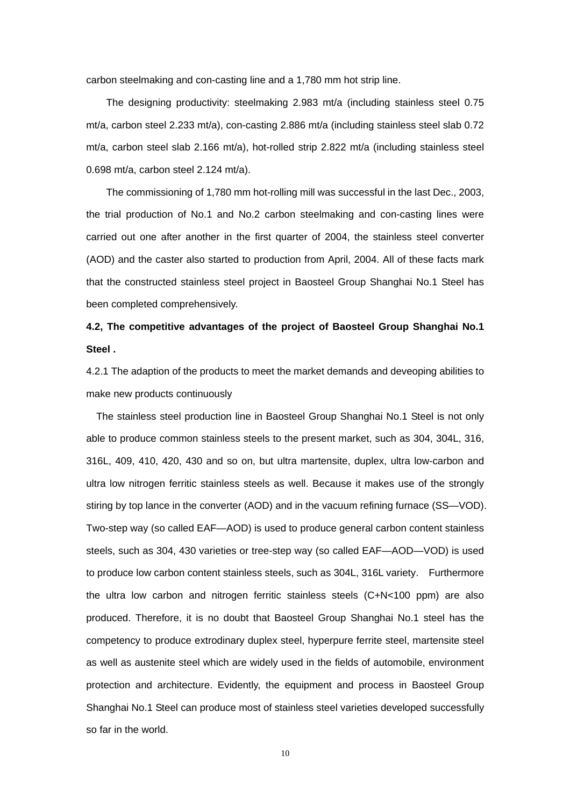carbon steelmaking and con-casting line and a 1,780 mm hot strip line.

The designing productivity: steelmaking 2.983 mt/a (including stainless steel 0.75 mt/a, carbon steel 2.233 mt/a), con-casting 2.886 mt/a (including stainless steel slab 0.72 mt/a, carbon steel slab 2.166 mt/a), hot-rolled strip 2.822 mt/a (including stainless steel 0.698 mt/a, carbon steel 2.124 mt/a).

The commissioning of 1,780 mm hot-rolling mill was successful in the last Dec., 2003, the trial production of No.1 and No.2 carbon steelmaking and con-casting lines were carried out one after another in the first quarter of 2004, the stainless steel converter (AOD) and the caster also started to production from April, 2004. All of these facts mark that the constructed stainless steel project in Baosteel Group Shanghai No.1 Steel has been completed comprehensively.

# **4.2, The competitive advantages of the project of Baosteel Group Shanghai No.1 Steel .**

4.2.1 The adaption of the products to meet the market demands and deveoping abilities to make new products continuously

The stainless steel production line in Baosteel Group Shanghai No.1 Steel is not only able to produce common stainless steels to the present market, such as 304, 304L, 316, 316L, 409, 410, 420, 430 and so on, but ultra martensite, duplex, ultra low-carbon and ultra low nitrogen ferritic stainless steels as well. Because it makes use of the strongly stiring by top lance in the converter (AOD) and in the vacuum refining furnace (SS—VOD). Two-step way (so called EAF—AOD) is used to produce general carbon content stainless steels, such as 304, 430 varieties or tree-step way (so called EAF—AOD—VOD) is used to produce low carbon content stainless steels, such as 304L, 316L variety. Furthermore the ultra low carbon and nitrogen ferritic stainless steels (C+N<100 ppm) are also produced. Therefore, it is no doubt that Baosteel Group Shanghai No.1 steel has the competency to produce extrodinary duplex steel, hyperpure ferrite steel, martensite steel as well as austenite steel which are widely used in the fields of automobile, environment protection and architecture. Evidently, the equipment and process in Baosteel Group Shanghai No.1 Steel can produce most of stainless steel varieties developed successfully so far in the world.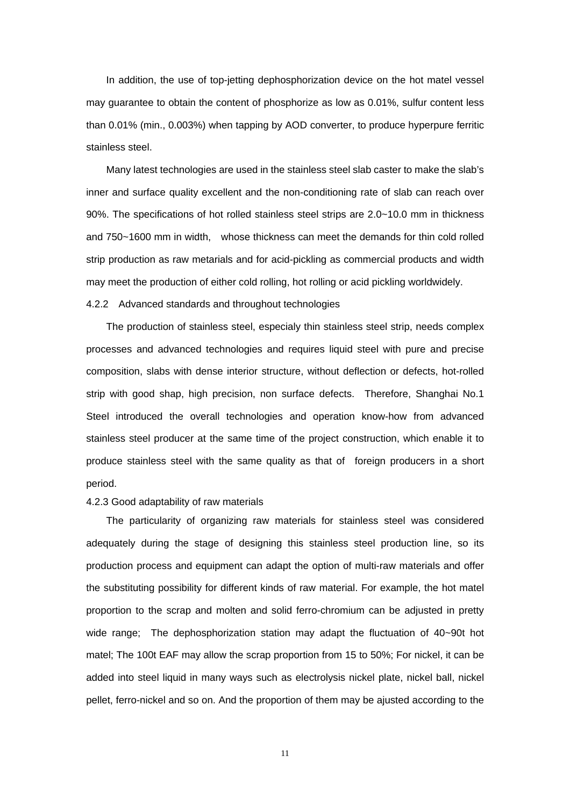In addition, the use of top-jetting dephosphorization device on the hot matel vessel may guarantee to obtain the content of phosphorize as low as 0.01%, sulfur content less than 0.01% (min., 0.003%) when tapping by AOD converter, to produce hyperpure ferritic stainless steel.

Many latest technologies are used in the stainless steel slab caster to make the slab's inner and surface quality excellent and the non-conditioning rate of slab can reach over 90%. The specifications of hot rolled stainless steel strips are 2.0~10.0 mm in thickness and 750~1600 mm in width, whose thickness can meet the demands for thin cold rolled strip production as raw metarials and for acid-pickling as commercial products and width may meet the production of either cold rolling, hot rolling or acid pickling worldwidely.

### 4.2.2 Advanced standards and throughout technologies

The production of stainless steel, especialy thin stainless steel strip, needs complex processes and advanced technologies and requires liquid steel with pure and precise composition, slabs with dense interior structure, without deflection or defects, hot-rolled strip with good shap, high precision, non surface defects. Therefore, Shanghai No.1 Steel introduced the overall technologies and operation know-how from advanced stainless steel producer at the same time of the project construction, which enable it to produce stainless steel with the same quality as that of foreign producers in a short period.

#### 4.2.3 Good adaptability of raw materials

The particularity of organizing raw materials for stainless steel was considered adequately during the stage of designing this stainless steel production line, so its production process and equipment can adapt the option of multi-raw materials and offer the substituting possibility for different kinds of raw material. For example, the hot matel proportion to the scrap and molten and solid ferro-chromium can be adjusted in pretty wide range; The dephosphorization station may adapt the fluctuation of 40~90t hot matel; The 100t EAF may allow the scrap proportion from 15 to 50%; For nickel, it can be added into steel liquid in many ways such as electrolysis nickel plate, nickel ball, nickel pellet, ferro-nickel and so on. And the proportion of them may be ajusted according to the